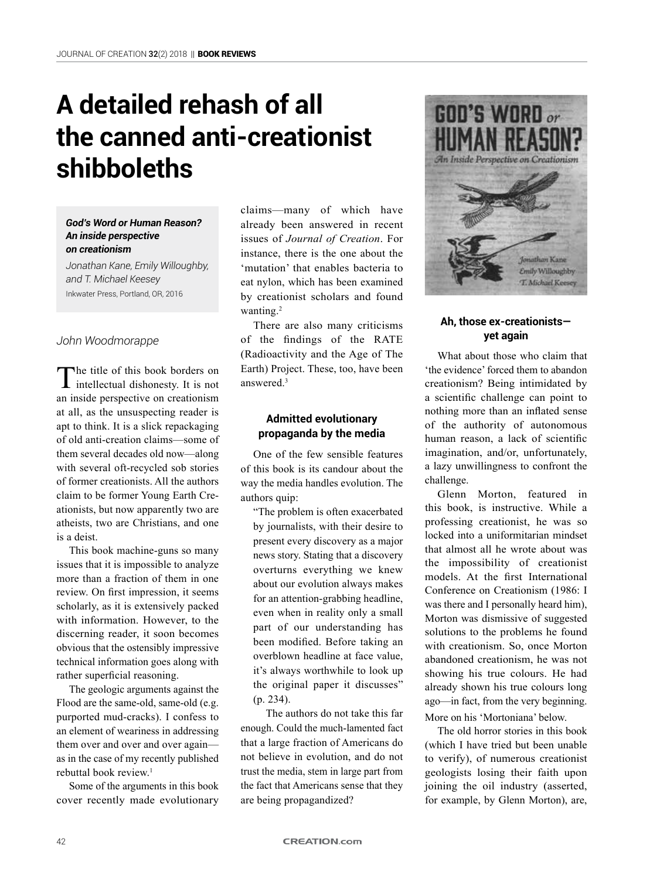# **A detailed rehash of all the canned anti-creationist shibboleths**

#### *God's Word or Human Reason? An inside perspective on creationism*

*Jonathan Kane, Emily Willoughby, and T. Michael Keesey* Inkwater Press, Portland, OR, 2016

# *John Woodmorappe*

The title of this book borders on intellectual dishonesty. It is not an inside perspective on creationism at all, as the unsuspecting reader is apt to think. It is a slick repackaging of old anti-creation claims—some of them several decades old now—along with several oft-recycled sob stories of former creationists. All the authors claim to be former Young Earth Creationists, but now apparently two are atheists, two are Christians, and one is a deist.

This book machine-guns so many issues that it is impossible to analyze more than a fraction of them in one review. On first impression, it seems scholarly, as it is extensively packed with information. However, to the discerning reader, it soon becomes obvious that the ostensibly impressive technical information goes along with rather superficial reasoning.

The geologic arguments against the Flood are the same-old, same-old (e.g. purported mud-cracks). I confess to an element of weariness in addressing them over and over and over again as in the case of my recently published rebuttal book review.<sup>1</sup>

Some of the arguments in this book cover recently made evolutionary claims—many of which have already been answered in recent issues of *Journal of Creation*. For instance, there is the one about the 'mutation' that enables bacteria to eat nylon, which has been examined by creationist scholars and found wanting.<sup>2</sup>

There are also many criticisms of the findings of the RATE (Radioactivity and the Age of The Earth) Project. These, too, have been answered<sup>3</sup>

## **Admitted evolutionary propaganda by the media**

One of the few sensible features of this book is its candour about the way the media handles evolution. The authors quip:

"The problem is often exacerbated by journalists, with their desire to present every discovery as a major news story. Stating that a discovery overturns everything we knew about our evolution always makes for an attention-grabbing headline, even when in reality only a small part of our understanding has been modified. Before taking an overblown headline at face value, it's always worthwhile to look up the original paper it discusses" (p. 234).

The authors do not take this far enough. Could the much-lamented fact that a large fraction of Americans do not believe in evolution, and do not trust the media, stem in large part from the fact that Americans sense that they are being propagandized?



## **Ah, those ex-creationists yet again**

What about those who claim that 'the evidence' forced them to abandon creationism? Being intimidated by a scientific challenge can point to nothing more than an inflated sense of the authority of autonomous human reason, a lack of scientific imagination, and/or, unfortunately, a lazy unwillingness to confront the challenge.

Glenn Morton, featured in this book, is instructive. While a professing creationist, he was so locked into a uniformitarian mindset that almost all he wrote about was the impossibility of creationist models. At the first International Conference on Creationism (1986: I was there and I personally heard him), Morton was dismissive of suggested solutions to the problems he found with creationism. So, once Morton abandoned creationism, he was not showing his true colours. He had already shown his true colours long ago—in fact, from the very beginning. More on his 'Mortoniana' below.

The old horror stories in this book (which I have tried but been unable to verify), of numerous creationist geologists losing their faith upon joining the oil industry (asserted, for example, by Glenn Morton), are,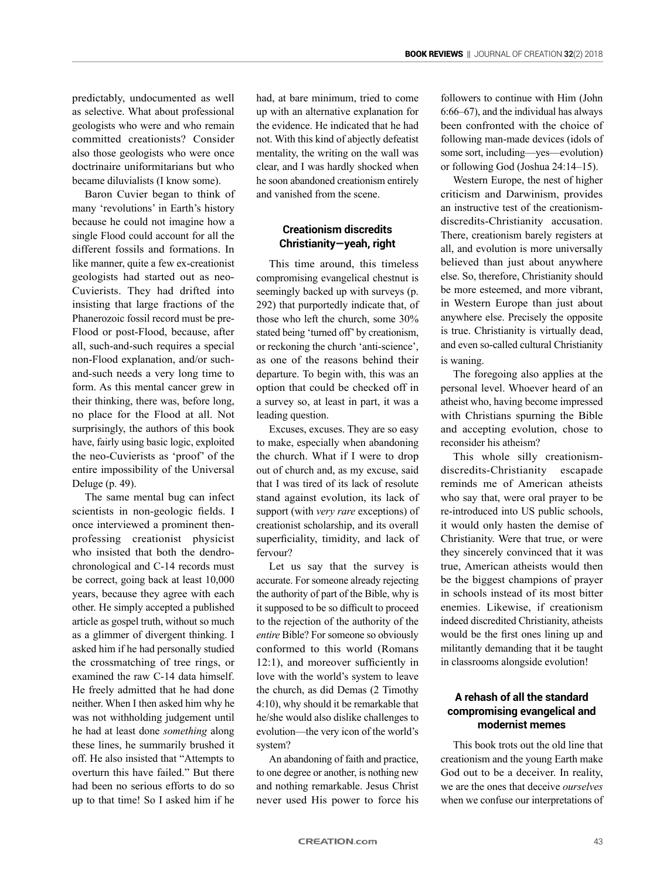predictably, undocumented as well as selective. What about professional geologists who were and who remain committed creationists? Consider also those geologists who were once doctrinaire uniformitarians but who became diluvialists (I know some).

Baron Cuvier began to think of many 'revolutions' in Earth's history because he could not imagine how a single Flood could account for all the different fossils and formations. In like manner, quite a few ex-creationist geologists had started out as neo-Cuvierists. They had drifted into insisting that large fractions of the Phanerozoic fossil record must be pre-Flood or post-Flood, because, after all, such-and-such requires a special non-Flood explanation, and/or suchand-such needs a very long time to form. As this mental cancer grew in their thinking, there was, before long, no place for the Flood at all. Not surprisingly, the authors of this book have, fairly using basic logic, exploited the neo-Cuvierists as 'proof' of the entire impossibility of the Universal Deluge (p. 49).

The same mental bug can infect scientists in non-geologic fields. I once interviewed a prominent thenprofessing creationist physicist who insisted that both the dendrochronological and C-14 records must be correct, going back at least 10,000 years, because they agree with each other. He simply accepted a published article as gospel truth, without so much as a glimmer of divergent thinking. I asked him if he had personally studied the crossmatching of tree rings, or examined the raw C-14 data himself. He freely admitted that he had done neither. When I then asked him why he was not withholding judgement until he had at least done *something* along these lines, he summarily brushed it off. He also insisted that "Attempts to overturn this have failed." But there had been no serious efforts to do so up to that time! So I asked him if he

had, at bare minimum, tried to come up with an alternative explanation for the evidence. He indicated that he had not. With this kind of abjectly defeatist mentality, the writing on the wall was clear, and I was hardly shocked when he soon abandoned creationism entirely and vanished from the scene.

## **Creationism discredits Christianity—yeah, right**

This time around, this timeless compromising evangelical chestnut is seemingly backed up with surveys (p. 292) that purportedly indicate that, of those who left the church, some 30% stated being 'turned off' by creationism, or reckoning the church 'anti-science', as one of the reasons behind their departure. To begin with, this was an option that could be checked off in a survey so, at least in part, it was a leading question.

Excuses, excuses. They are so easy to make, especially when abandoning the church. What if I were to drop out of church and, as my excuse, said that I was tired of its lack of resolute stand against evolution, its lack of support (with *very rare* exceptions) of creationist scholarship, and its overall superficiality, timidity, and lack of fervour?

Let us say that the survey is accurate. For someone already rejecting the authority of part of the Bible, why is it supposed to be so difficult to proceed to the rejection of the authority of the *entire* Bible? For someone so obviously conformed to this world (Romans 12:1), and moreover sufficiently in love with the world's system to leave the church, as did Demas (2 Timothy 4:10), why should it be remarkable that he/she would also dislike challenges to evolution—the very icon of the world's system?

An abandoning of faith and practice, to one degree or another, is nothing new and nothing remarkable. Jesus Christ never used His power to force his

followers to continue with Him (John 6:66–67), and the individual has always been confronted with the choice of following man-made devices (idols of some sort, including—yes—evolution) or following God (Joshua 24:14–15).

Western Europe, the nest of higher criticism and Darwinism, provides an instructive test of the creationismdiscredits-Christianity accusation. There, creationism barely registers at all, and evolution is more universally believed than just about anywhere else. So, therefore, Christianity should be more esteemed, and more vibrant, in Western Europe than just about anywhere else. Precisely the opposite is true. Christianity is virtually dead, and even so-called cultural Christianity is waning.

The foregoing also applies at the personal level. Whoever heard of an atheist who, having become impressed with Christians spurning the Bible and accepting evolution, chose to reconsider his atheism?

This whole silly creationismdiscredits-Christianity escapade reminds me of American atheists who say that, were oral prayer to be re-introduced into US public schools, it would only hasten the demise of Christianity. Were that true, or were they sincerely convinced that it was true, American atheists would then be the biggest champions of prayer in schools instead of its most bitter enemies. Likewise, if creationism indeed discredited Christianity, atheists would be the first ones lining up and militantly demanding that it be taught in classrooms alongside evolution!

# **A rehash of all the standard compromising evangelical and modernist memes**

This book trots out the old line that creationism and the young Earth make God out to be a deceiver. In reality, we are the ones that deceive *ourselves* when we confuse our interpretations of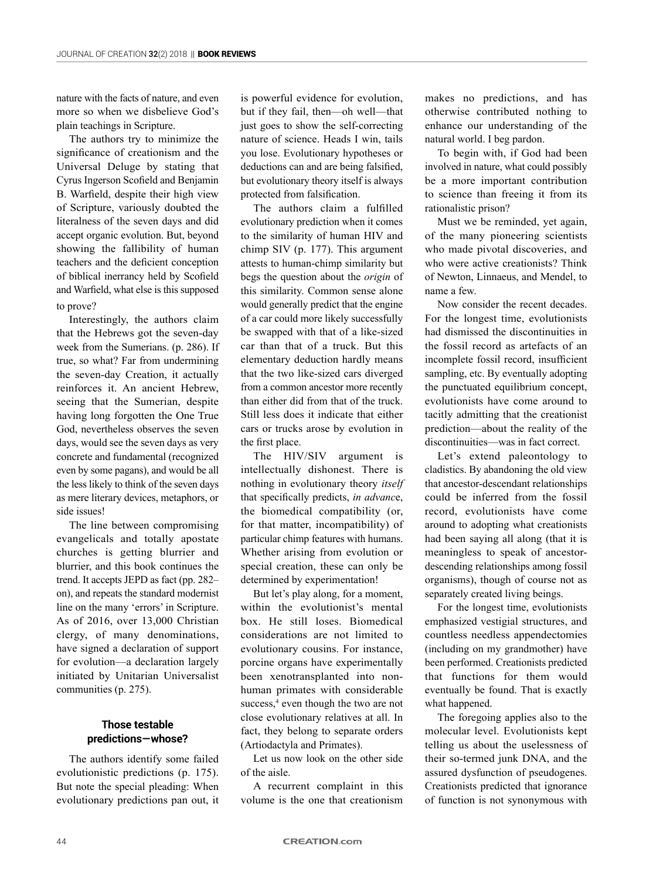nature with the facts of nature, and even more so when we disbelieve God's plain teachings in Scripture.

The authors try to minimize the significance of creationism and the Universal Deluge by stating that Cyrus Ingerson Scofield and Benjamin B. Warfield, despite their high view of Scripture, variously doubted the literalness of the seven days and did accept organic evolution. But, beyond showing the fallibility of human teachers and the deficient conception of biblical inerrancy held by Scofield and Warfield, what else is this supposed to prove?

# Interestingly, the authors claim that the Hebrews got the seven-day week from the Sumerians. (p. 286). If true, so what? Far from undermining the seven-day Creation, it actually reinforces it. An ancient Hebrew, seeing that the Sumerian, despite having long forgotten the One True God, nevertheless observes the seven days, would see the seven days as very concrete and fundamental (recognized even by some pagans), and would be all the less likely to think of the seven days as mere literary devices, metaphors, or side issues!

The line between compromising evangelicals and totally apostate churches is getting blurrier and blurrier, and this book continues the trend. It accepts JEPD as fact (pp. 282– on), and repeats the standard modernist line on the many 'errors' in Scripture. As of 2016, over 13,000 Christian clergy, of many denominations, have signed a declaration of support for evolution—a declaration largely initiated by Unitarian Universalist communities (p. 275).

#### **Those testable predictions—whose?**

The authors identify some failed evolutionistic predictions (p. 175). But note the special pleading: When evolutionary predictions pan out, it

is powerful evidence for evolution, but if they fail, then—oh well—that just goes to show the self-correcting nature of science. Heads I win, tails you lose. Evolutionary hypotheses or deductions can and are being falsified, but evolutionary theory itself is always protected from falsification.

The authors claim a fulfilled evolutionary prediction when it comes to the similarity of human HIV and chimp SIV (p. 177). This argument attests to human-chimp similarity but begs the question about the *origin* of this similarity. Common sense alone would generally predict that the engine of a car could more likely successfully be swapped with that of a like-sized car than that of a truck. But this elementary deduction hardly means that the two like-sized cars diverged from a common ancestor more recently than either did from that of the truck. Still less does it indicate that either cars or trucks arose by evolution in the first place.

The HIV/SIV argument is intellectually dishonest. There is nothing in evolutionary theory *itself* that specifically predicts, *in advanc*e, the biomedical compatibility (or, for that matter, incompatibility) of particular chimp features with humans. Whether arising from evolution or special creation, these can only be determined by experimentation!

But let's play along, for a moment, within the evolutionist's mental box. He still loses. Biomedical considerations are not limited to evolutionary cousins. For instance, porcine organs have experimentally been xenotransplanted into nonhuman primates with considerable success,<sup>4</sup> even though the two are not close evolutionary relatives at all. In fact, they belong to separate orders (Artiodactyla and Primates).

Let us now look on the other side of the aisle.

A recurrent complaint in this volume is the one that creationism

makes no predictions, and has otherwise contributed nothing to enhance our understanding of the natural world. I beg pardon.

To begin with, if God had been involved in nature, what could possibly be a more important contribution to science than freeing it from its rationalistic prison?

Must we be reminded, yet again, of the many pioneering scientists who made pivotal discoveries, and who were active creationists? Think of Newton, Linnaeus, and Mendel, to name a few.

Now consider the recent decades. For the longest time, evolutionists had dismissed the discontinuities in the fossil record as artefacts of an incomplete fossil record, insufficient sampling, etc. By eventually adopting the punctuated equilibrium concept, evolutionists have come around to tacitly admitting that the creationist prediction—about the reality of the discontinuities—was in fact correct.

Let's extend paleontology to cladistics. By abandoning the old view that ancestor-descendant relationships could be inferred from the fossil record, evolutionists have come around to adopting what creationists had been saying all along (that it is meaningless to speak of ancestordescending relationships among fossil organisms), though of course not as separately created living beings.

For the longest time, evolutionists emphasized vestigial structures, and countless needless appendectomies (including on my grandmother) have been performed. Creationists predicted that functions for them would eventually be found. That is exactly what happened.

The foregoing applies also to the molecular level. Evolutionists kept telling us about the uselessness of their so-termed junk DNA, and the assured dysfunction of pseudogenes. Creationists predicted that ignorance of function is not synonymous with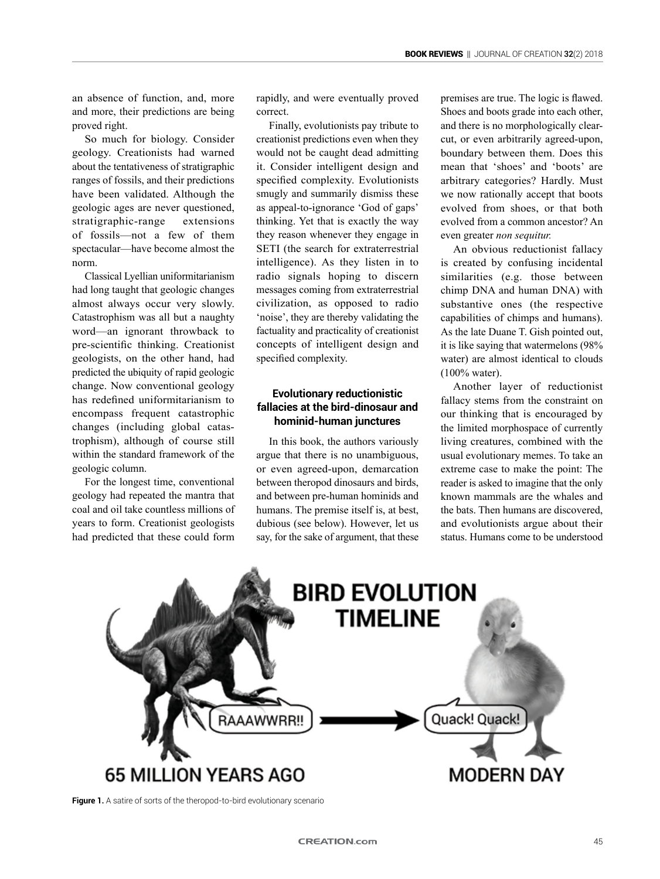an absence of function, and, more and more, their predictions are being proved right.

So much for biology. Consider geology. Creationists had warned about the tentativeness of stratigraphic ranges of fossils, and their predictions have been validated. Although the geologic ages are never questioned, stratigraphic-range extensions of fossils—not a few of them spectacular—have become almost the norm.

Classical Lyellian uniformitarianism had long taught that geologic changes almost always occur very slowly. Catastrophism was all but a naughty word—an ignorant throwback to pre-scientific thinking. Creationist geologists, on the other hand, had predicted the ubiquity of rapid geologic change. Now conventional geology has redefined uniformitarianism to encompass frequent catastrophic changes (including global catastrophism), although of course still within the standard framework of the geologic column.

For the longest time, conventional geology had repeated the mantra that coal and oil take countless millions of years to form. Creationist geologists had predicted that these could form rapidly, and were eventually proved correct.

Finally, evolutionists pay tribute to creationist predictions even when they would not be caught dead admitting it. Consider intelligent design and specified complexity. Evolutionists smugly and summarily dismiss these as appeal-to-ignorance 'God of gaps' thinking. Yet that is exactly the way they reason whenever they engage in SETI (the search for extraterrestrial intelligence). As they listen in to radio signals hoping to discern messages coming from extraterrestrial civilization, as opposed to radio 'noise', they are thereby validating the factuality and practicality of creationist concepts of intelligent design and specified complexity.

## **Evolutionary reductionistic fallacies at the bird-dinosaur and hominid-human junctures**

In this book, the authors variously argue that there is no unambiguous, or even agreed-upon, demarcation between theropod dinosaurs and birds, and between pre-human hominids and humans. The premise itself is, at best, dubious (see below). However, let us say, for the sake of argument, that these premises are true. The logic is flawed. Shoes and boots grade into each other, and there is no morphologically clearcut, or even arbitrarily agreed-upon, boundary between them. Does this mean that 'shoes' and 'boots' are arbitrary categories? Hardly. Must we now rationally accept that boots evolved from shoes, or that both evolved from a common ancestor? An even greater *non sequitur.*

An obvious reductionist fallacy is created by confusing incidental similarities (e.g. those between chimp DNA and human DNA) with substantive ones (the respective capabilities of chimps and humans). As the late Duane T. Gish pointed out, it is like saying that watermelons (98% water) are almost identical to clouds (100% water).

Another layer of reductionist fallacy stems from the constraint on our thinking that is encouraged by the limited morphospace of currently living creatures, combined with the usual evolutionary memes. To take an extreme case to make the point: The reader is asked to imagine that the only known mammals are the whales and the bats. Then humans are discovered, and evolutionists argue about their status. Humans come to be understood



**Figure 1.** A satire of sorts of the theropod-to-bird evolutionary scenario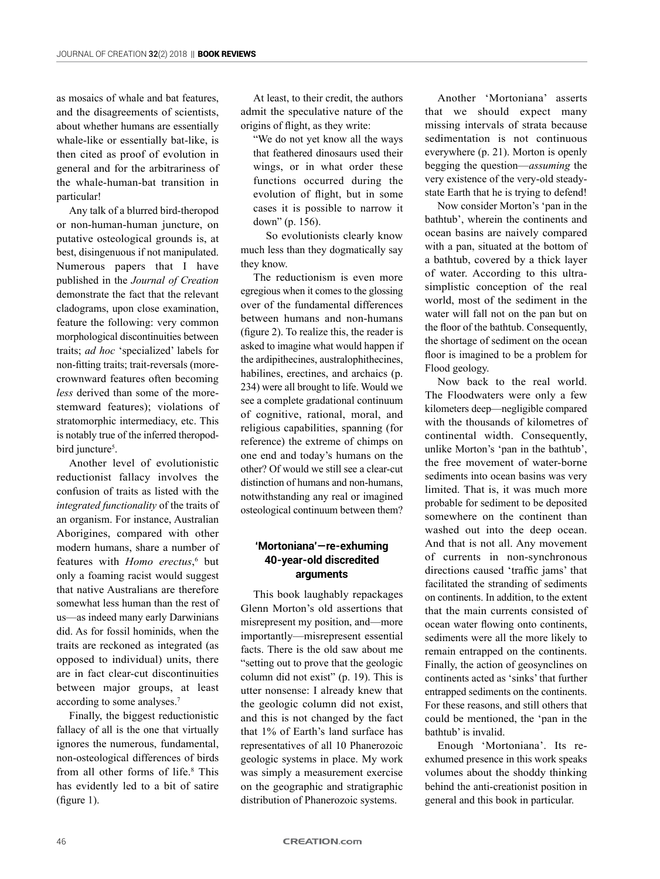as mosaics of whale and bat features, and the disagreements of scientists, about whether humans are essentially whale-like or essentially bat-like, is then cited as proof of evolution in general and for the arbitrariness of the whale-human-bat transition in particular!

Any talk of a blurred bird-theropod or non-human-human juncture, on putative osteological grounds is, at best, disingenuous if not manipulated. Numerous papers that I have published in the *Journal of Creation* demonstrate the fact that the relevant cladograms, upon close examination, feature the following: very common morphological discontinuities between traits; *ad hoc* 'specialized' labels for non-fitting traits; trait-reversals (morecrownward features often becoming *less* derived than some of the morestemward features); violations of stratomorphic intermediacy, etc. This is notably true of the inferred theropodbird juncture<sup>5</sup>.

Another level of evolutionistic reductionist fallacy involves the confusion of traits as listed with the *integrated functionality* of the traits of an organism. For instance, Australian Aborigines, compared with other modern humans, share a number of features with *Homo erectus*,<sup>6</sup> but only a foaming racist would suggest that native Australians are therefore somewhat less human than the rest of us—as indeed many early Darwinians did. As for fossil hominids, when the traits are reckoned as integrated (as opposed to individual) units, there are in fact clear-cut discontinuities between major groups, at least according to some analyses.7

Finally, the biggest reductionistic fallacy of all is the one that virtually ignores the numerous, fundamental, non-osteological differences of birds from all other forms of life.<sup>8</sup> This has evidently led to a bit of satire (figure 1).

At least, to their credit, the authors admit the speculative nature of the origins of flight, as they write:

"We do not yet know all the ways that feathered dinosaurs used their wings, or in what order these functions occurred during the evolution of flight, but in some cases it is possible to narrow it down" (p. 156).

So evolutionists clearly know much less than they dogmatically say they know.

The reductionism is even more egregious when it comes to the glossing over of the fundamental differences between humans and non-humans (figure 2). To realize this, the reader is asked to imagine what would happen if the ardipithecines, australophithecines, habilines, erectines, and archaics (p. 234) were all brought to life. Would we see a complete gradational continuum of cognitive, rational, moral, and religious capabilities, spanning (for reference) the extreme of chimps on one end and today's humans on the other? Of would we still see a clear-cut distinction of humans and non-humans, notwithstanding any real or imagined osteological continuum between them?

#### **'Mortoniana'—re-exhuming 40-year-old discredited arguments**

This book laughably repackages Glenn Morton's old assertions that misrepresent my position, and—more importantly—misrepresent essential facts. There is the old saw about me "setting out to prove that the geologic column did not exist" (p. 19). This is utter nonsense: I already knew that the geologic column did not exist, and this is not changed by the fact that 1% of Earth's land surface has representatives of all 10 Phanerozoic geologic systems in place. My work was simply a measurement exercise on the geographic and stratigraphic distribution of Phanerozoic systems.

Another 'Mortoniana' asserts that we should expect many missing intervals of strata because sedimentation is not continuous everywhere (p. 21). Morton is openly begging the question—*assuming* the very existence of the very-old steadystate Earth that he is trying to defend!

Now consider Morton's 'pan in the bathtub', wherein the continents and ocean basins are naively compared with a pan, situated at the bottom of a bathtub, covered by a thick layer of water. According to this ultrasimplistic conception of the real world, most of the sediment in the water will fall not on the pan but on the floor of the bathtub. Consequently, the shortage of sediment on the ocean floor is imagined to be a problem for Flood geology.

Now back to the real world. The Floodwaters were only a few kilometers deep—negligible compared with the thousands of kilometres of continental width. Consequently, unlike Morton's 'pan in the bathtub', the free movement of water-borne sediments into ocean basins was very limited. That is, it was much more probable for sediment to be deposited somewhere on the continent than washed out into the deep ocean. And that is not all. Any movement of currents in non-synchronous directions caused 'traffic jams' that facilitated the stranding of sediments on continents. In addition, to the extent that the main currents consisted of ocean water flowing onto continents, sediments were all the more likely to remain entrapped on the continents. Finally, the action of geosynclines on continents acted as 'sinks' that further entrapped sediments on the continents. For these reasons, and still others that could be mentioned, the 'pan in the bathtub' is invalid.

Enough 'Mortoniana'. Its reexhumed presence in this work speaks volumes about the shoddy thinking behind the anti-creationist position in general and this book in particular.